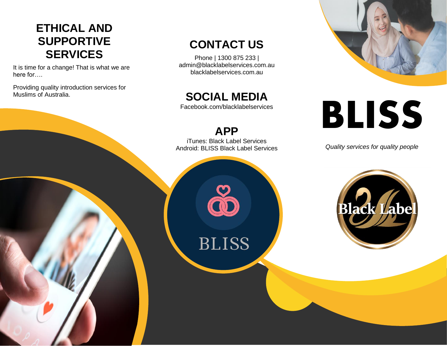## **ETHICAL AND SUPPORTIVE SERVICES**

It is time for a change! That is what we are here for….

Providing quality introduction services for Muslims of Australia.

## **CONTACT US**

Phone | 1300 875 233 | admin@blacklabelservices.com.au blacklabelservices.com.au

**SOCIAL MEDIA**

Facebook.com/blacklabelservices

**APP** iTunes: Black Label Services Android: BLISS Black Label Services

**BLISS** 



# **BLISS**

*Quality services for quality people*